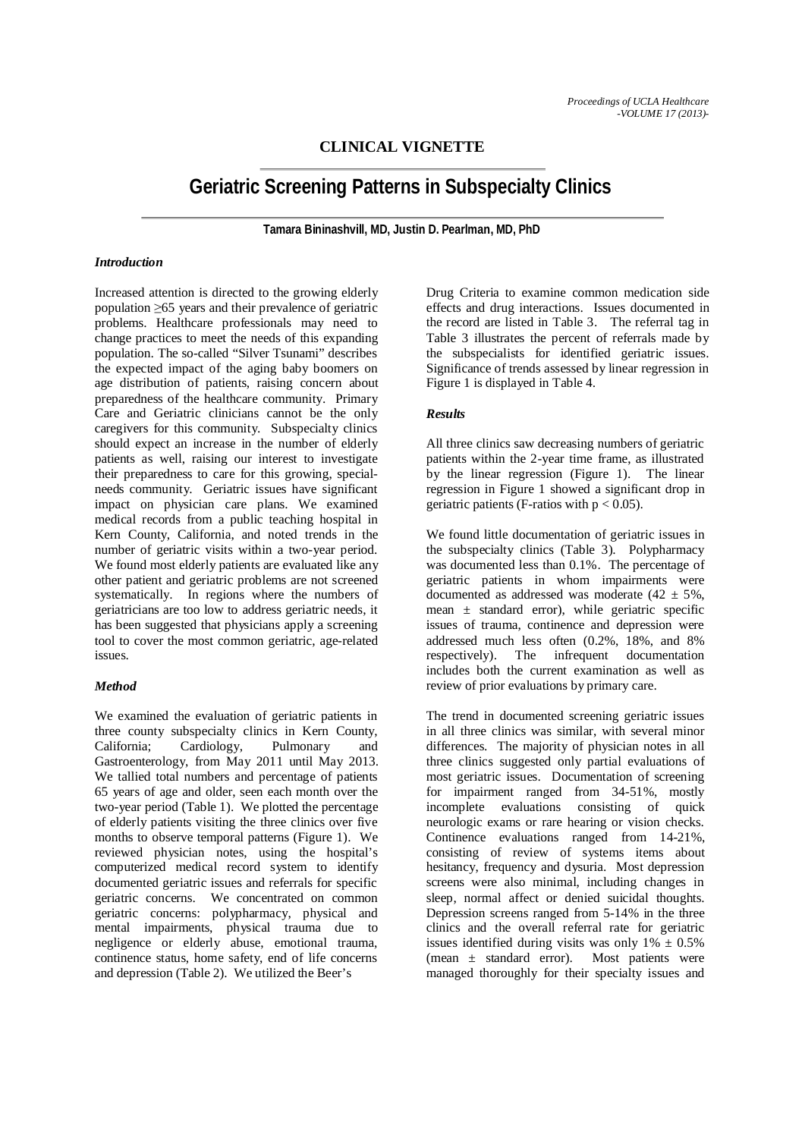# **CLINICAL VIGNETTE**

# **Geriatric Screening Patterns in Subspecialty Clinics**

**Tamara Bininashvill, MD, Justin D. Pearlman, MD, PhD**

## *Introduction*

Increased attention is directed to the growing elderly population ≥65 years and their prevalence of geriatric problems. Healthcare professionals may need to change practices to meet the needs of this expanding population. The so-called "Silver Tsunami" describes the expected impact of the aging baby boomers on age distribution of patients, raising concern about preparedness of the healthcare community. Primary Care and Geriatric clinicians cannot be the only caregivers for this community. Subspecialty clinics should expect an increase in the number of elderly patients as well, raising our interest to investigate their preparedness to care for this growing, specialneeds community. Geriatric issues have significant impact on physician care plans. We examined medical records from a public teaching hospital in Kern County, California, and noted trends in the number of geriatric visits within a two-year period. We found most elderly patients are evaluated like any other patient and geriatric problems are not screened systematically. In regions where the numbers of geriatricians are too low to address geriatric needs, it has been suggested that physicians apply a screening tool to cover the most common geriatric, age-related issues.

## *Method*

We examined the evaluation of geriatric patients in three county subspecialty clinics in Kern County, California; Cardiology, Pulmonary and Gastroenterology, from May 2011 until May 2013. We tallied total numbers and percentage of patients 65 years of age and older, seen each month over the two-year period (Table 1). We plotted the percentage of elderly patients visiting the three clinics over five months to observe temporal patterns (Figure 1). We reviewed physician notes, using the hospital's computerized medical record system to identify documented geriatric issues and referrals for specific geriatric concerns. We concentrated on common geriatric concerns: polypharmacy, physical and mental impairments, physical trauma due to negligence or elderly abuse, emotional trauma, continence status, home safety, end of life concerns and depression (Table 2). We utilized the Beer's

Drug Criteria to examine common medication side effects and drug interactions. Issues documented in the record are listed in Table 3. The referral tag in Table 3 illustrates the percent of referrals made by the subspecialists for identified geriatric issues. Significance of trends assessed by linear regression in Figure 1 is displayed in Table 4.

## *Results*

All three clinics saw decreasing numbers of geriatric patients within the 2-year time frame, as illustrated by the linear regression (Figure 1). The linear regression in Figure 1 showed a significant drop in geriatric patients (F-ratios with  $p < 0.05$ ).

We found little documentation of geriatric issues in the subspecialty clinics (Table 3). Polypharmacy was documented less than 0.1%. The percentage of geriatric patients in whom impairments were documented as addressed was moderate  $(42 \pm 5\%)$ , mean  $\pm$  standard error), while geriatric specific issues of trauma, continence and depression were addressed much less often (0.2%, 18%, and 8% respectively). The infrequent documentation includes both the current examination as well as review of prior evaluations by primary care.

The trend in documented screening geriatric issues in all three clinics was similar, with several minor differences. The majority of physician notes in all three clinics suggested only partial evaluations of most geriatric issues. Documentation of screening for impairment ranged from 34-51%, mostly incomplete evaluations consisting of quick neurologic exams or rare hearing or vision checks. Continence evaluations ranged from 14-21%, consisting of review of systems items about hesitancy, frequency and dysuria. Most depression screens were also minimal, including changes in sleep, normal affect or denied suicidal thoughts. Depression screens ranged from 5-14% in the three clinics and the overall referral rate for geriatric issues identified during visits was only  $1\% \pm 0.5\%$ (mean ± standard error). Most patients were managed thoroughly for their specialty issues and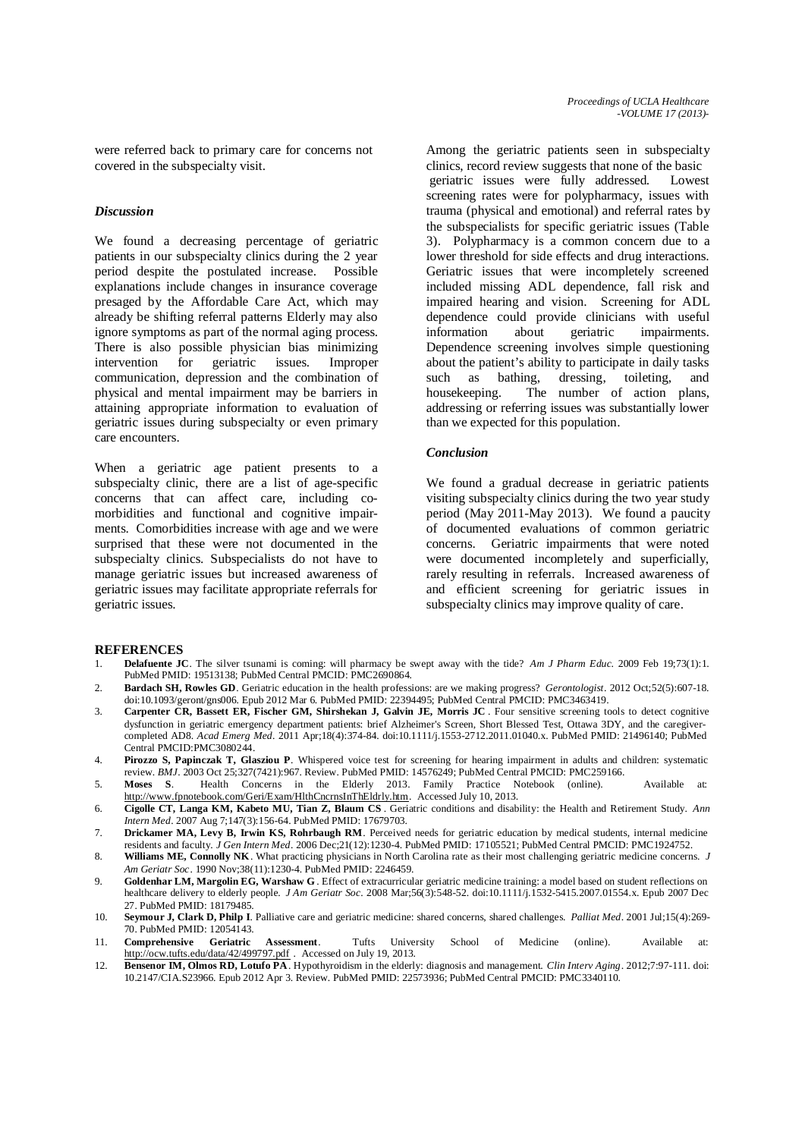were referred back to primary care for concerns not covered in the subspecialty visit.

#### *Discussion*

We found a decreasing percentage of geriatric patients in our subspecialty clinics during the 2 year period despite the postulated increase. Possible explanations include changes in insurance coverage presaged by the Affordable Care Act, which may already be shifting referral patterns Elderly may also ignore symptoms as part of the normal aging process. There is also possible physician bias minimizing intervention for geriatric issues. Improper communication, depression and the combination of physical and mental impairment may be barriers in attaining appropriate information to evaluation of geriatric issues during subspecialty or even primary care encounters.

When a geriatric age patient presents to a subspecialty clinic, there are a list of age-specific concerns that can affect care, including comorbidities and functional and cognitive impairments. Comorbidities increase with age and we were surprised that these were not documented in the subspecialty clinics. Subspecialists do not have to manage geriatric issues but increased awareness of geriatric issues may facilitate appropriate referrals for geriatric issues.

Among the geriatric patients seen in subspecialty clinics, record review suggests that none of the basic geriatric issues were fully addressed. Lowest screening rates were for polypharmacy, issues with trauma (physical and emotional) and referral rates by the subspecialists for specific geriatric issues (Table 3). Polypharmacy is a common concern due to a lower threshold for side effects and drug interactions. Geriatric issues that were incompletely screened included missing ADL dependence, fall risk and impaired hearing and vision. Screening for ADL dependence could provide clinicians with useful information about geriatric impairments. Dependence screening involves simple questioning about the patient's ability to participate in daily tasks such as bathing, dressing, toileting, and housekeeping. The number of action plans, addressing or referring issues was substantially lower than we expected for this population.

#### *Conclusion*

We found a gradual decrease in geriatric patients visiting subspecialty clinics during the two year study period (May 2011-May 2013). We found a paucity of documented evaluations of common geriatric concerns. Geriatric impairments that were noted were documented incompletely and superficially, rarely resulting in referrals. Increased awareness of and efficient screening for geriatric issues in subspecialty clinics may improve quality of care.

#### **REFERENCES**

- 1. **Delafuente JC**. The silver tsunami is coming: will pharmacy be swept away with the tide? *Am J Pharm Educ*. 2009 Feb 19;73(1):1. PubMed PMID: 19513138; PubMed Central PMCID: PMC2690864.
- 2. **Bardach SH, Rowles GD**. Geriatric education in the health professions: are we making progress? *Gerontologist*. 2012 Oct;52(5):607-18. doi:10.1093/geront/gns006. Epub 2012 Mar 6. PubMed PMID: 22394495; PubMed Central PMCID: PMC3463419.
- 3. **Carpenter CR, Bassett ER, Fischer GM, Shirshekan J, Galvin JE, Morris JC** . Four sensitive screening tools to detect cognitive dysfunction in geriatric emergency department patients: brief Alzheimer's Screen, Short Blessed Test, Ottawa 3DY, and the caregivercompleted AD8. *Acad Emerg Med*. 2011 Apr;18(4):374-84. doi:10.1111/j.1553-2712.2011.01040.x. PubMed PMID: 21496140; PubMed Central PMCID:PMC3080244.
- 4. **Pirozzo S, Papinczak T, Glasziou P**. Whispered voice test for screening for hearing impairment in adults and children: systematic review. *BMJ*. 2003 Oct 25;327(7421):967. Review. PubMed PMID: 14576249; PubMed Central PMCID: PMC259166.
- 5. **Moses S**. Health Concerns in the Elderly 2013. Family Practice Notebook (online). Available at: http://www.fpnotebook.com/Geri/Exam/HlthCncrnsInThEldrly.htm. Accessed July 10, 2013.
- 6. **Cigolle CT, Langa KM, Kabeto MU, Tian Z, Blaum CS** . Geriatric conditions and disability: the Health and Retirement Study. *Ann Intern Med*. 2007 Aug 7;147(3):156-64. PubMed PMID: 17679703.
- 7. **Drickamer MA, Levy B, Irwin KS, Rohrbaugh RM**. Perceived needs for geriatric education by medical students, internal medicine residents and faculty. *J Gen Intern Med*. 2006 Dec;21(12):1230-4. PubMed PMID: 17105521; PubMed Central PMCID: PMC1924752.
- 8. **Williams ME, Connolly NK**. What practicing physicians in North Carolina rate as their most challenging geriatric medicine concerns. *J Am Geriatr Soc*. 1990 Nov;38(11):1230-4. PubMed PMID: 2246459.
- 9. **Goldenhar LM, Margolin EG, Warshaw G** . Effect of extracurricular geriatric medicine training: a model based on student reflections on healthcare delivery to elderly people. *J Am Geriatr Soc*. 2008 Mar;56(3):548-52. doi:10.1111/j.1532-5415.2007.01554.x. Epub 2007 Dec 27. PubMed PMID: 18179485.
- 10. **Seymour J, Clark D, Philp I**. Palliative care and geriatric medicine: shared concerns, shared challenges. *Palliat Med*. 2001 Jul;15(4):269- 70. PubMed PMID: 12054143.
- 11. **Comprehensive Geriatric Assessment**. Tufts University School of Medicine (online). Available at: http://ocw.tufts.edu/data/42/499797.pdf . Accessed on July 19, 2013.
- 12. **Bensenor IM, Olmos RD, Lotufo PA**. Hypothyroidism in the elderly: diagnosis and management. *Clin Interv Aging*. 2012;7:97-111. doi: 10.2147/CIA.S23966. Epub 2012 Apr 3. Review. PubMed PMID: 22573936; PubMed Central PMCID: PMC3340110.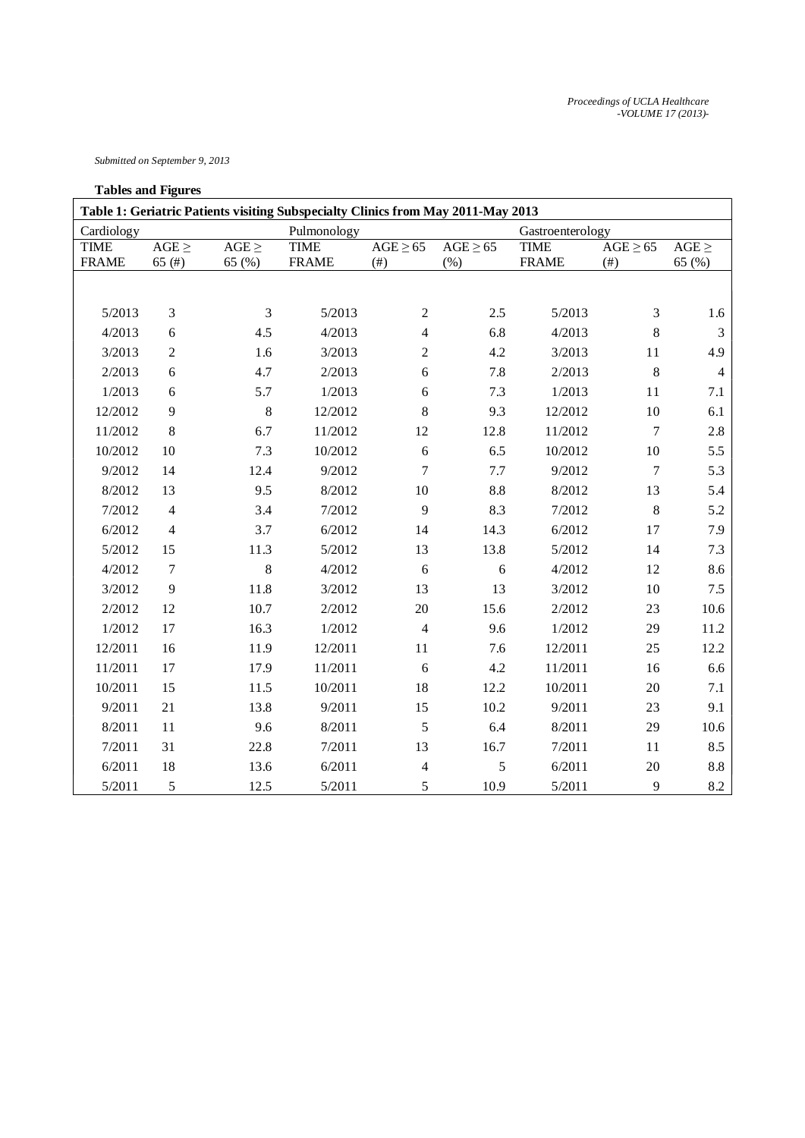*Submitted on September 9, 2013*

## **Tables and Figures**

| Table 1: Geriatric Patients visiting Subspecialty Clinics from May 2011-May 2013 |                        |                      |                             |                                              |                                           |                             |                                              |                      |
|----------------------------------------------------------------------------------|------------------------|----------------------|-----------------------------|----------------------------------------------|-------------------------------------------|-----------------------------|----------------------------------------------|----------------------|
| Cardiology                                                                       |                        |                      | Pulmonology                 |                                              |                                           | Gastroenterology            |                                              |                      |
| <b>TIME</b><br><b>FRAME</b>                                                      | $AGE \geq$<br>$65$ (#) | $AGE \geq$<br>65 (%) | <b>TIME</b><br><b>FRAME</b> | $\overline{\text{AGE} \geq 65}$<br>$($ # $)$ | $\overline{\text{AGE} \geq 65}$<br>$(\%)$ | <b>TIME</b><br><b>FRAME</b> | $\overline{\text{AGE} \geq 65}$<br>$($ # $)$ | $AGE \geq$<br>65 (%) |
|                                                                                  |                        |                      |                             |                                              |                                           |                             |                                              |                      |
| 5/2013                                                                           | 3                      | 3                    | 5/2013                      | $\overline{c}$                               | 2.5                                       | 5/2013                      | $\mathfrak{Z}$                               | 1.6                  |
| 4/2013                                                                           | 6                      | 4.5                  | 4/2013                      | $\overline{\mathbf{4}}$                      | 6.8                                       | 4/2013                      | 8                                            | $\mathfrak{Z}$       |
| 3/2013                                                                           | $\overline{c}$         | 1.6                  | 3/2013                      | $\boldsymbol{2}$                             | 4.2                                       | 3/2013                      | $11\,$                                       | 4.9                  |
| 2/2013                                                                           | 6                      | 4.7                  | 2/2013                      | 6                                            | 7.8                                       | 2/2013                      | 8                                            | $\overline{4}$       |
| 1/2013                                                                           | 6                      | 5.7                  | 1/2013                      | 6                                            | 7.3                                       | 1/2013                      | 11                                           | 7.1                  |
| 12/2012                                                                          | 9                      | 8                    | 12/2012                     | $8\,$                                        | 9.3                                       | 12/2012                     | 10                                           | 6.1                  |
| 11/2012                                                                          | $8\,$                  | 6.7                  | 11/2012                     | 12                                           | 12.8                                      | 11/2012                     | $\boldsymbol{7}$                             | $2.8\,$              |
| 10/2012                                                                          | 10                     | 7.3                  | 10/2012                     | 6                                            | 6.5                                       | 10/2012                     | $10\,$                                       | 5.5                  |
| 9/2012                                                                           | 14                     | 12.4                 | 9/2012                      | $\boldsymbol{7}$                             | $7.7\,$                                   | 9/2012                      | $\boldsymbol{7}$                             | 5.3                  |
| 8/2012                                                                           | 13                     | 9.5                  | 8/2012                      | $10\,$                                       | 8.8                                       | 8/2012                      | 13                                           | 5.4                  |
| 7/2012                                                                           | $\overline{4}$         | 3.4                  | 7/2012                      | 9                                            | 8.3                                       | 7/2012                      | $\,8\,$                                      | 5.2                  |
| 6/2012                                                                           | $\overline{4}$         | 3.7                  | 6/2012                      | 14                                           | 14.3                                      | 6/2012                      | 17                                           | 7.9                  |
| 5/2012                                                                           | 15                     | 11.3                 | 5/2012                      | 13                                           | 13.8                                      | 5/2012                      | 14                                           | 7.3                  |
| 4/2012                                                                           | $\tau$                 | 8                    | 4/2012                      | 6                                            | 6                                         | 4/2012                      | 12                                           | 8.6                  |
| 3/2012                                                                           | 9                      | 11.8                 | 3/2012                      | 13                                           | 13                                        | 3/2012                      | $10\,$                                       | 7.5                  |
| 2/2012                                                                           | 12                     | 10.7                 | 2/2012                      | 20                                           | 15.6                                      | 2/2012                      | 23                                           | 10.6                 |
| 1/2012                                                                           | 17                     | 16.3                 | 1/2012                      | $\overline{\mathbf{4}}$                      | 9.6                                       | 1/2012                      | 29                                           | 11.2                 |
| 12/2011                                                                          | 16                     | 11.9                 | 12/2011                     | 11                                           | 7.6                                       | 12/2011                     | 25                                           | 12.2                 |
| 11/2011                                                                          | 17                     | 17.9                 | 11/2011                     | 6                                            | 4.2                                       | 11/2011                     | 16                                           | 6.6                  |
| 10/2011                                                                          | 15                     | 11.5                 | 10/2011                     | 18                                           | 12.2                                      | 10/2011                     | $20\,$                                       | 7.1                  |
| 9/2011                                                                           | 21                     | 13.8                 | 9/2011                      | 15                                           | 10.2                                      | 9/2011                      | 23                                           | 9.1                  |
| 8/2011                                                                           | 11                     | 9.6                  | 8/2011                      | 5                                            | 6.4                                       | 8/2011                      | 29                                           | 10.6                 |
| 7/2011                                                                           | 31                     | 22.8                 | 7/2011                      | 13                                           | 16.7                                      | 7/2011                      | 11                                           | 8.5                  |
| 6/2011                                                                           | 18                     | 13.6                 | 6/2011                      | $\overline{\mathbf{4}}$                      | 5                                         | 6/2011                      | $20\,$                                       | $\!\!\!\!\!8.8$      |
| 5/2011                                                                           | 5                      | 12.5                 | 5/2011                      | 5                                            | 10.9                                      | 5/2011                      | 9                                            | 8.2                  |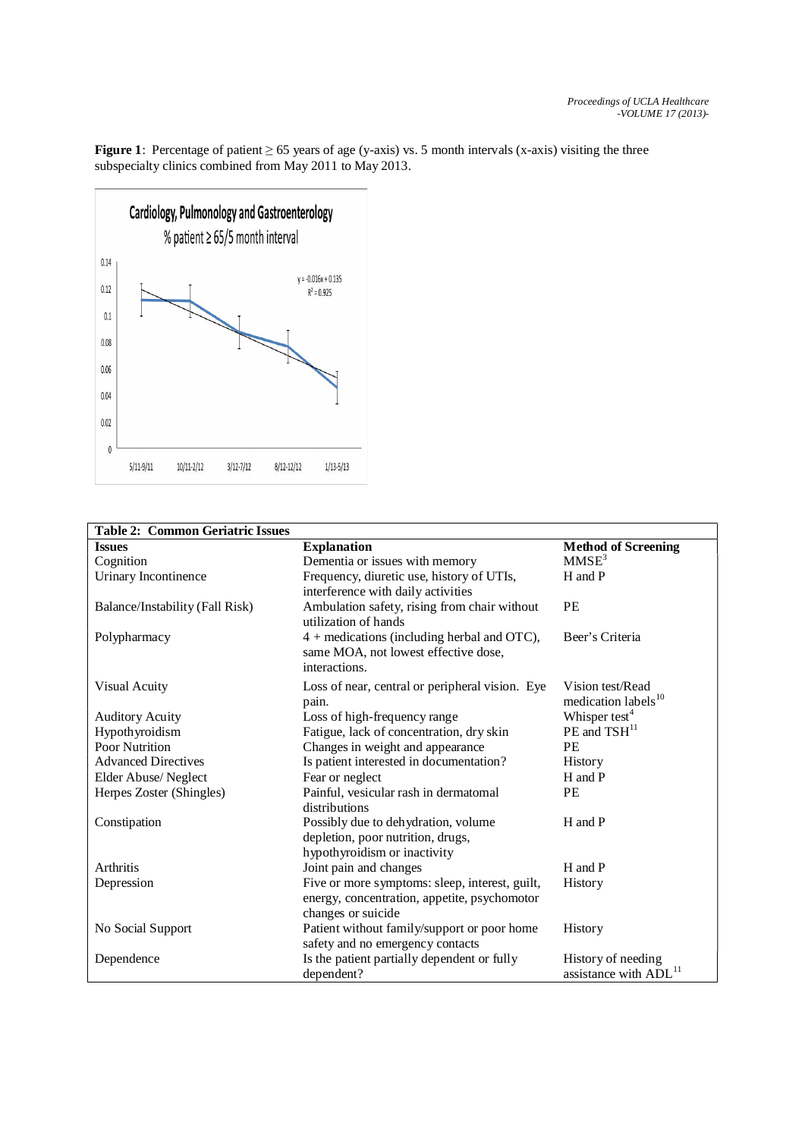**Figure 1**: Percentage of patient  $\geq 65$  years of age (y-axis) vs. 5 month intervals (x-axis) visiting the three subspecialty clinics combined from May 2011 to May 2013.



| <b>Table 2: Common Geriatric Issues</b> |                                                 |                                   |  |  |  |
|-----------------------------------------|-------------------------------------------------|-----------------------------------|--|--|--|
| <b>Issues</b>                           | <b>Explanation</b>                              | <b>Method of Screening</b>        |  |  |  |
| Cognition                               | Dementia or issues with memory                  | MMSE <sup>3</sup>                 |  |  |  |
| Urinary Incontinence                    | Frequency, diuretic use, history of UTIs,       | H and P                           |  |  |  |
|                                         | interference with daily activities              |                                   |  |  |  |
| Balance/Instability (Fall Risk)         | Ambulation safety, rising from chair without    | <b>PE</b>                         |  |  |  |
|                                         | utilization of hands                            |                                   |  |  |  |
| Polypharmacy                            | $4 +$ medications (including herbal and OTC),   | Beer's Criteria                   |  |  |  |
|                                         | same MOA, not lowest effective dose,            |                                   |  |  |  |
|                                         | interactions.                                   |                                   |  |  |  |
| <b>Visual Acuity</b>                    | Loss of near, central or peripheral vision. Eye | Vision test/Read                  |  |  |  |
|                                         | pain.                                           | medication labels <sup>10</sup>   |  |  |  |
| <b>Auditory Acuity</b>                  | Loss of high-frequency range                    | Whisper test <sup>4</sup>         |  |  |  |
| Hypothyroidism                          | Fatigue, lack of concentration, dry skin        | PE and TSH <sup>11</sup>          |  |  |  |
| Poor Nutrition                          | Changes in weight and appearance                | <b>PE</b>                         |  |  |  |
| <b>Advanced Directives</b>              | Is patient interested in documentation?         | <b>History</b>                    |  |  |  |
| Elder Abuse/Neglect                     | Fear or neglect                                 | H and P                           |  |  |  |
| Herpes Zoster (Shingles)                | Painful, vesicular rash in dermatomal           | <b>PE</b>                         |  |  |  |
|                                         | distributions                                   |                                   |  |  |  |
| Constipation                            | Possibly due to dehydration, volume             | H and P                           |  |  |  |
|                                         | depletion, poor nutrition, drugs,               |                                   |  |  |  |
|                                         | hypothyroidism or inactivity                    |                                   |  |  |  |
| <b>Arthritis</b>                        | Joint pain and changes                          | H and P                           |  |  |  |
| Depression                              | Five or more symptoms: sleep, interest, guilt,  | History                           |  |  |  |
|                                         | energy, concentration, appetite, psychomotor    |                                   |  |  |  |
|                                         | changes or suicide                              |                                   |  |  |  |
| No Social Support                       | Patient without family/support or poor home     | History                           |  |  |  |
|                                         | safety and no emergency contacts                |                                   |  |  |  |
| Dependence                              | Is the patient partially dependent or fully     | History of needing                |  |  |  |
|                                         | dependent?                                      | assistance with ADL <sup>11</sup> |  |  |  |